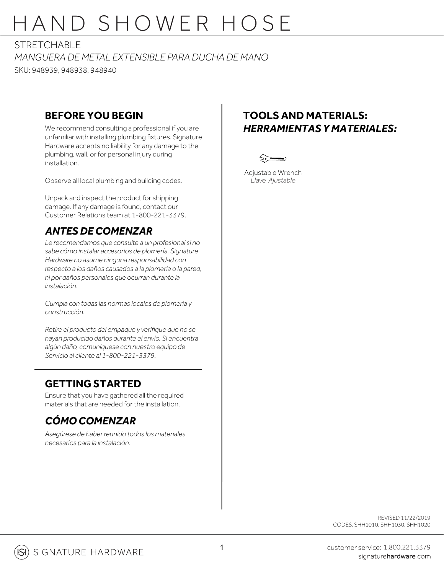# HAND SHOWER HOSE

STRFTCHABLE

*MANGUERA DE METAL EXTENSIBLE PARA DUCHA DE MANO* SKU: 948939, 948938, 948940

### **BEFORE YOU BEGIN**

We recommend consulting a professional if you are unfamiliar with installing plumbing fixtures. Signature Hardware accepts no liability for any damage to the plumbing, wall, or for personal injury during installation.

Observe all local plumbing and building codes.

Unpack and inspect the product for shipping damage. If any damage is found, contact our Customer Relations team at 1-800-221-3379.

## *ANTES DE COMENZAR*

*Le recomendamos que consulte a un profesional si no sabe cómo instalar accesorios de plomería. Signature Hardware no asume ninguna responsabilidad con respecto a los daños causados a la plomería o la pared, ni por daños personales que ocurran durante la instalación.*

*Cumpla con todas las normas locales de plomería y construcción.*

*Retire el producto del empaque y verifique que no se hayan producido daños durante el envío. Si encuentra algún daño, comuníquese con nuestro equipo de Servicio al cliente al 1-800-221-3379.*

## **GETTING STARTED**

Ensure that you have gathered all the required materials that are needed for the installation.

## *CÓMO COMENZAR*

*Asegúrese de haber reunido todos los materiales necesarios para la instalación.*

## **TOOLS AND MATERIALS:** *HERRAMIENTAS Y MATERIALES:*



Adjustable Wrench *Llave Ajustable*

> REVISED 11/22/2019 CODES: SHH1010, SHH1030, SHH1020